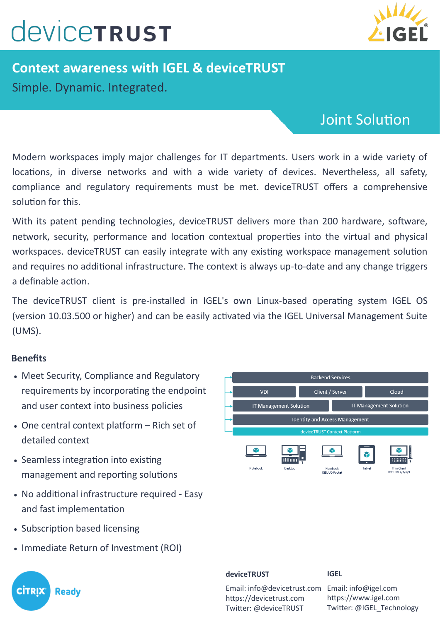# **CONCETRUST**



## **Context awareness with IGEL & deviceTRUST** Simple. Dynamic. Integrated.

### Joint Solution

Modern workspaces imply major challenges for IT departments. Users work in a wide variety of locations, in diverse networks and with a wide variety of devices. Nevertheless, all safety, compliance and regulatory requirements must be met. deviceTRUST offers a comprehensive solution for this.

With its patent pending technologies, deviceTRUST delivers more than 200 hardware, software, network, security, performance and location contextual properties into the virtual and physical workspaces. deviceTRUST can easily integrate with any existing workspace management solution and requires no additional infrastructure. The context is always up-to-date and any change triggers a definable action.

The deviceTRUST client is pre-installed in IGEL's own Linux-based operating system IGEL OS (version 10.03.500 or higher) and can be easily activated via the IGEL Universal Management Suite (UMS).

### **Benefits**

- Meet Security, Compliance and Regulatory requirements by incorporating the endpoint and user context into business policies
- One central context platform Rich set of detailed context
- Seamless integration into existing management and reporting solutions
- No additional infrastructure required Easy and fast implementation
- Subscription based licensing
- Immediate Return of Investment (ROI)



#### **deviceTRUST**

**IGEL**

Email: info@devicetrust.com Email: info@igel.com https://devicetrust.com Twitter: @deviceTRUST

https://www.igel.com Twitter: @IGEL\_Technology